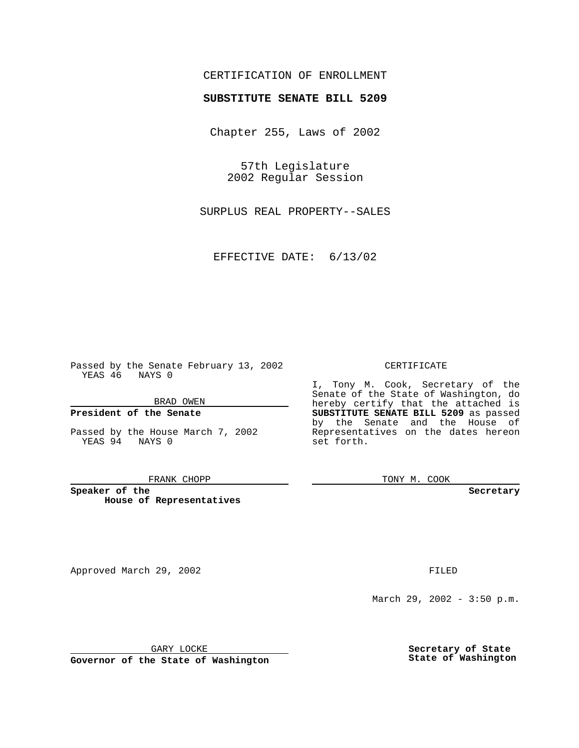## CERTIFICATION OF ENROLLMENT

# **SUBSTITUTE SENATE BILL 5209**

Chapter 255, Laws of 2002

57th Legislature 2002 Regular Session

SURPLUS REAL PROPERTY--SALES

EFFECTIVE DATE: 6/13/02

Passed by the Senate February 13, 2002 YEAS 46 NAYS 0

BRAD OWEN

### **President of the Senate**

Passed by the House March 7, 2002 YEAS 94 NAYS 0

#### FRANK CHOPP

**Speaker of the House of Representatives**

Approved March 29, 2002 **FILED** 

#### CERTIFICATE

I, Tony M. Cook, Secretary of the Senate of the State of Washington, do hereby certify that the attached is **SUBSTITUTE SENATE BILL 5209** as passed by the Senate and the House of Representatives on the dates hereon set forth.

TONY M. COOK

**Secretary**

March 29, 2002 - 3:50 p.m.

GARY LOCKE

**Governor of the State of Washington**

**Secretary of State State of Washington**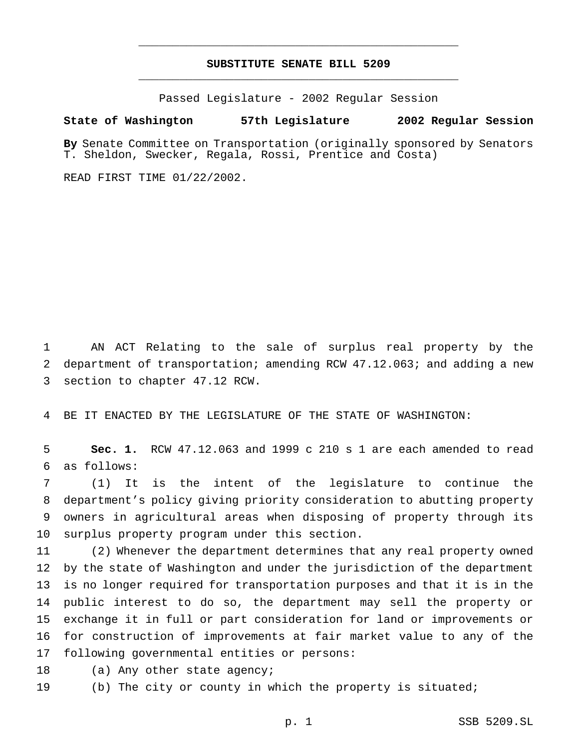## **SUBSTITUTE SENATE BILL 5209** \_\_\_\_\_\_\_\_\_\_\_\_\_\_\_\_\_\_\_\_\_\_\_\_\_\_\_\_\_\_\_\_\_\_\_\_\_\_\_\_\_\_\_\_\_\_\_

\_\_\_\_\_\_\_\_\_\_\_\_\_\_\_\_\_\_\_\_\_\_\_\_\_\_\_\_\_\_\_\_\_\_\_\_\_\_\_\_\_\_\_\_\_\_\_

Passed Legislature - 2002 Regular Session

### **State of Washington 57th Legislature 2002 Regular Session**

**By** Senate Committee on Transportation (originally sponsored by Senators T. Sheldon, Swecker, Regala, Rossi, Prentice and Costa)

READ FIRST TIME 01/22/2002.

 AN ACT Relating to the sale of surplus real property by the department of transportation; amending RCW 47.12.063; and adding a new section to chapter 47.12 RCW.

BE IT ENACTED BY THE LEGISLATURE OF THE STATE OF WASHINGTON:

 **Sec. 1.** RCW 47.12.063 and 1999 c 210 s 1 are each amended to read as follows:

 (1) It is the intent of the legislature to continue the department's policy giving priority consideration to abutting property owners in agricultural areas when disposing of property through its surplus property program under this section.

 (2) Whenever the department determines that any real property owned by the state of Washington and under the jurisdiction of the department is no longer required for transportation purposes and that it is in the public interest to do so, the department may sell the property or exchange it in full or part consideration for land or improvements or for construction of improvements at fair market value to any of the following governmental entities or persons:

18 (a) Any other state agency;

(b) The city or county in which the property is situated;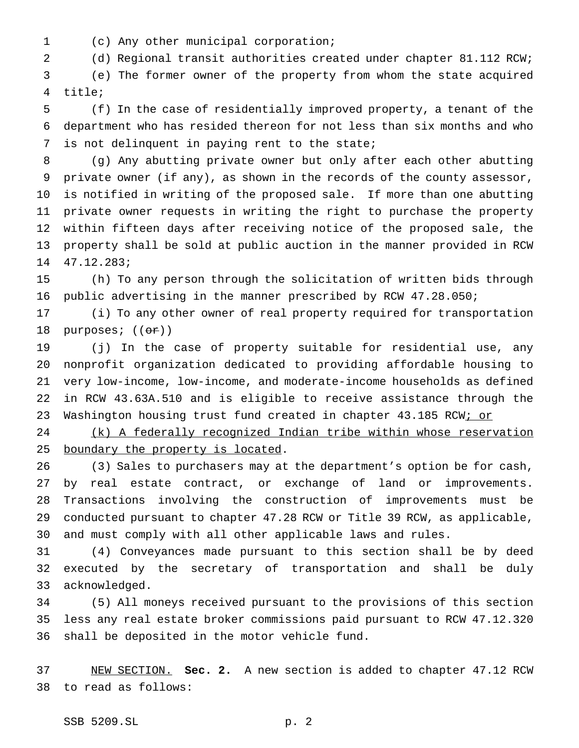(c) Any other municipal corporation;

(d) Regional transit authorities created under chapter 81.112 RCW;

 (e) The former owner of the property from whom the state acquired title;

 (f) In the case of residentially improved property, a tenant of the department who has resided thereon for not less than six months and who is not delinquent in paying rent to the state;

 (g) Any abutting private owner but only after each other abutting private owner (if any), as shown in the records of the county assessor, is notified in writing of the proposed sale. If more than one abutting private owner requests in writing the right to purchase the property within fifteen days after receiving notice of the proposed sale, the property shall be sold at public auction in the manner provided in RCW 47.12.283;

 (h) To any person through the solicitation of written bids through public advertising in the manner prescribed by RCW 47.28.050;

 (i) To any other owner of real property required for transportation 18 purposes;  $((\theta \cdot \mathbf{r}))$ 

 (j) In the case of property suitable for residential use, any nonprofit organization dedicated to providing affordable housing to very low-income, low-income, and moderate-income households as defined in RCW 43.63A.510 and is eligible to receive assistance through the 23 Washington housing trust fund created in chapter 43.185 RCW; or

 (k) A federally recognized Indian tribe within whose reservation 25 boundary the property is located.

 (3) Sales to purchasers may at the department's option be for cash, by real estate contract, or exchange of land or improvements. Transactions involving the construction of improvements must be conducted pursuant to chapter 47.28 RCW or Title 39 RCW, as applicable, and must comply with all other applicable laws and rules.

 (4) Conveyances made pursuant to this section shall be by deed executed by the secretary of transportation and shall be duly acknowledged.

 (5) All moneys received pursuant to the provisions of this section less any real estate broker commissions paid pursuant to RCW 47.12.320 shall be deposited in the motor vehicle fund.

 NEW SECTION. **Sec. 2.** A new section is added to chapter 47.12 RCW to read as follows: